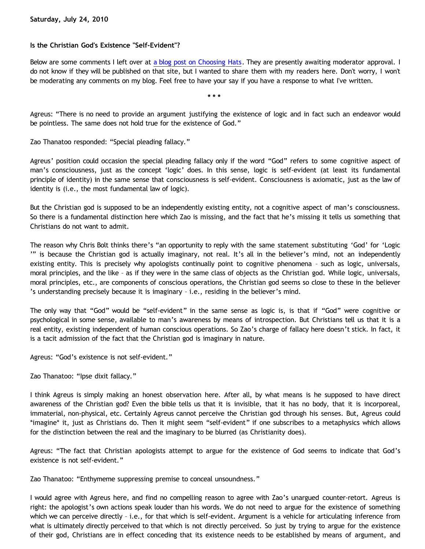## **Is the Christian God's Existence "Self-Evident"?**

Below are some comments I left over at [a blog post on Choosing Hats.](http://www.choosinghats.com/?p=1411) They are presently awaiting moderator approval. I do not know if they will be published on that site, but I wanted to share them with my readers here. Don't worry, I won't be moderating any comments on my blog. Feel free to have your say if you have a response to what I've written.

**\* \* \***

Agreus: "There is no need to provide an argument justifying the existence of logic and in fact such an endeavor would be pointless. The same does not hold true for the existence of God."

Zao Thanatoo responded: "Special pleading fallacy."

Agreus' position could occasion the special pleading fallacy only if the word "God" refers to some cognitive aspect of man's consciousness, just as the concept 'logic' does. In this sense, logic is self-evident (at least its fundamental principle of identity) in the same sense that consciousness is self-evident. Consciousness is axiomatic, just as the law of identity is (i.e., the most fundamental law of logic).

But the Christian god is supposed to be an independently existing entity, not a cognitive aspect of man's consciousness. So there is a fundamental distinction here which Zao is missing, and the fact that he's missing it tells us something that Christians do not want to admit.

The reason why Chris Bolt thinks there's "an opportunity to reply with the same statement substituting 'God' for 'Logic '" is because the Christian god is actually imaginary, not real. It's all in the believer's mind, not an independently existing entity. This is precisely why apologists continually point to cognitive phenomena – such as logic, universals, moral principles, and the like – as if they were in the same class of objects as the Christian god. While logic, universals, moral principles, etc., are components of conscious operations, the Christian god seems so close to these in the believer 's understanding precisely because it is imaginary – i.e., residing in the believer's mind.

The only way that "God" would be "self-evident" in the same sense as logic is, is that if "God" were cognitive or psychological in some sense, available to man's awareness by means of introspection. But Christians tell us that it is a real entity, existing independent of human conscious operations. So Zao's charge of fallacy here doesn't stick. In fact, it is a tacit admission of the fact that the Christian god is imaginary in nature.

Agreus: "God's existence is not self-evident."

Zao Thanatoo: "Ipse dixit fallacy."

I think Agreus is simply making an honest observation here. After all, by what means is he supposed to have direct awareness of the Christian god? Even the bible tells us that it is invisible, that it has no body, that it is incorporeal, immaterial, non-physical, etc. Certainly Agreus cannot perceive the Christian god through his senses. But, Agreus could \*imagine\* it, just as Christians do. Then it might seem "self-evident" if one subscribes to a metaphysics which allows for the distinction between the real and the imaginary to be blurred (as Christianity does).

Agreus: "The fact that Christian apologists attempt to argue for the existence of God seems to indicate that God's existence is not self-evident."

Zao Thanatoo: "Enthymeme suppressing premise to conceal unsoundness."

I would agree with Agreus here, and find no compelling reason to agree with Zao's unargued counter-retort. Agreus is right: the apologist's own actions speak louder than his words. We do not need to argue for the existence of something which we can perceive directly – i.e., for that which is self-evident. Argument is a vehicle for articulating inference from what is ultimately directly perceived to that which is not directly perceived. So just by trying to argue for the existence of their god, Christians are in effect conceding that its existence needs to be established by means of argument, and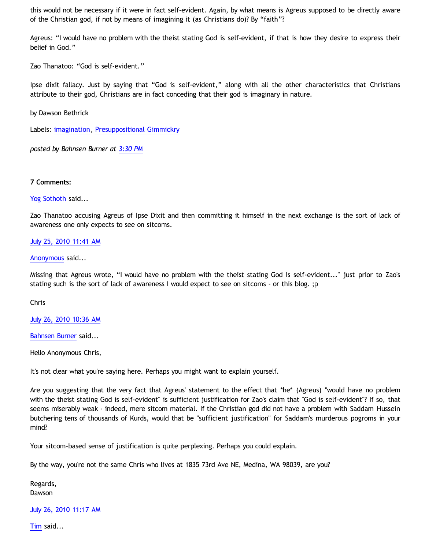this would not be necessary if it were in fact self-evident. Again, by what means is Agreus supposed to be directly aware of the Christian god, if not by means of imagining it (as Christians do)? By "faith"?

Agreus: "I would have no problem with the theist stating God is self-evident, if that is how they desire to express their belief in God."

Zao Thanatoo: "God is self-evident."

Ipse dixit fallacy. Just by saying that "God is self-evident," along with all the other characteristics that Christians attribute to their god, Christians are in fact conceding that their god is imaginary in nature.

by Dawson Bethrick

Labels: [imagination](http://bahnsenburner.blogspot.com/search/label/imagination), [Presuppositional Gimmickry](http://bahnsenburner.blogspot.com/search/label/Presuppositional%20Gimmickry)

*posted by Bahnsen Burner at [3:30 PM](http://bahnsenburner.blogspot.com/2010/07/is-christian-gods-existence-self.html)*

#### **7 Comments:**

## [Yog Sothoth](http://www.blogger.com/profile/02104602393018428099) said...

Zao Thanatoo accusing Agreus of Ipse Dixit and then committing it himself in the next exchange is the sort of lack of awareness one only expects to see on sitcoms.

## [July 25, 2010 11:41 AM](http://bahnsenburner.blogspot.com/2010/07/331551955496753844)

## [Anonymous](http://www.blogger.com/profile/15797112064238146744) said...

Missing that Agreus wrote, "I would have no problem with the theist stating God is self-evident..." just prior to Zao's stating such is the sort of lack of awareness I would expect to see on sitcoms - or this blog. ;p

#### Chris

[July 26, 2010 10:36 AM](http://bahnsenburner.blogspot.com/2010/07/8712074862495974023)

[Bahnsen Burner](http://www.blogger.com/profile/11030029491768748360) said...

Hello Anonymous Chris,

It's not clear what you're saying here. Perhaps you might want to explain yourself.

Are you suggesting that the very fact that Agreus' statement to the effect that \*he\* (Agreus) "would have no problem with the theist stating God is self-evident" is sufficient justification for Zao's claim that "God is self-evident"? If so, that seems miserably weak - indeed, mere sitcom material. If the Christian god did not have a problem with Saddam Hussein butchering tens of thousands of Kurds, would that be "sufficient justification" for Saddam's murderous pogroms in your mind?

Your sitcom-based sense of justification is quite perplexing. Perhaps you could explain.

By the way, you're not the same Chris who lives at 1835 73rd Ave NE, Medina, WA 98039, are you?

Regards, Dawson

# [July 26, 2010 11:17 AM](http://bahnsenburner.blogspot.com/2010/07/6909328691685563227)

[Tim](http://www.blogger.com/profile/17956849037158609520) said...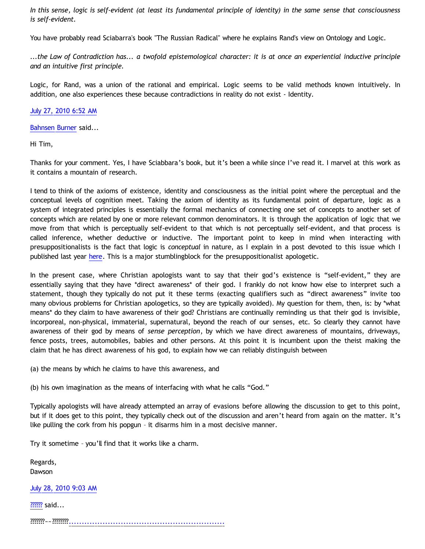*In this sense, logic is self-evident (at least its fundamental principle of identity) in the same sense that consciousness is self-evident.*

You have probably read Sciabarra's book "The Russian Radical" where he explains Rand's view on Ontology and Logic.

*...the Law of Contradiction has... a twofold epistemological character: it is at once an experiential inductive principle and an intuitive first principle.*

Logic, for Rand, was a union of the rational and empirical. Logic seems to be valid methods known intuitively. In addition, one also experiences these because contradictions in reality do not exist - Identity.

## [July 27, 2010 6:52 AM](http://bahnsenburner.blogspot.com/2010/07/6437312308068111838)

[Bahnsen Burner](http://www.blogger.com/profile/11030029491768748360) said...

Hi Tim,

Thanks for your comment. Yes, I have Sciabbara's book, but it's been a while since I've read it. I marvel at this work as it contains a mountain of research.

I tend to think of the axioms of existence, identity and consciousness as the initial point where the perceptual and the conceptual levels of cognition meet. Taking the axiom of identity as its fundamental point of departure, logic as a system of integrated principles is essentially the formal mechanics of connecting one set of concepts to another set of concepts which are related by one or more relevant common denominators. It is through the application of logic that we move from that which is perceptually self-evident to that which is not perceptually self-evident, and that process is called inference, whether deductive or inductive. The important point to keep in mind when interacting with presuppositionalists is the fact that logic is *conceptual* in nature, as I explain in a post devoted to this issue which I published last year [here.](http://bahnsenburner.blogspot.com/2009/07/does-logic-presuppose-christian-god_04.html) This is a major stumblingblock for the presuppositionalist apologetic.

In the present case, where Christian apologists want to say that their god's existence is "self-evident," they are essentially saying that they have \*direct awareness\* of their god. I frankly do not know how else to interpret such a statement, though they typically do not put it these terms (exacting qualifiers such as "direct awareness" invite too many obvious problems for Christian apologetics, so they are typically avoided). My question for them, then, is: by \*what means\* do they claim to have awareness of their god? Christians are continually reminding us that their god is invisible, incorporeal, non-physical, immaterial, supernatural, beyond the reach of our senses, etc. So clearly they cannot have awareness of their god by means of *sense perception*, by which we have direct awareness of mountains, driveways, fence posts, trees, automobiles, babies and other persons. At this point it is incumbent upon the theist making the claim that he has direct awareness of his god, to explain how we can reliably distinguish between

(a) the means by which he claims to have this awareness, and

(b) his own imagination as the means of interfacing with what he calls "God."

Typically apologists will have already attempted an array of evasions before allowing the discussion to get to this point, but if it does get to this point, they typically check out of the discussion and aren't heard from again on the matter. It's like pulling the cork from his popgun – it disarms him in a most decisive manner.

Try it sometime – you'll find that it works like a charm.

Regards, Dawson

# [July 28, 2010 9:03 AM](http://bahnsenburner.blogspot.com/2010/07/2426039570412065196)

[??????](http://www.blogger.com/profile/09282325097006321213) said...

???????~~???????[?.](http://showgirl543.com)[.](http://sex089.com)[.](http://sex083.com)[.](http://s719.com)[.](http://s342.com)[.](http://r645.com)[.](http://r260.com)[.](http://q702.com)[.](http://q469.com)[.](http://q287.com)[.](http://baby853.com)[.](http://baby690.com)[.](http://baby620.com)[.](http://baby418.com)[.](http://baby379.info)[.](http://baby325.com)[.](http://baby296.com)[.](http://baby026.com)[.](http://b940.info)[.](http://b841.info)[.](http://av75.baby620.com)[.](http://av76.baby620.com)[.](http://av77.baby620.com)[.](http://av78.baby620.com)[.](http://av79.baby620.com)[.](http://av80.baby620.com)[.](http://av81.baby620.com)[.](http://av82.baby620.com)[.](http://av83.baby620.com)[.](http://av97.baby620.com)[.](http://baby620.com)[.](http://av12.baby620.com)[.](http://av13.baby620.com)[.](http://av14.baby620.com)[.](http://av15.baby620.com)[.](http://av16.baby620.com)[.](http://av17.baby620.com)[.](http://av18.baby620.com)[.](http://av19.baby620.com)[.](http://av20.baby620.com)[.](http://av18.showgirl543.com)[.](http://av15.showgirl543.com)[.](http://av16.showgirl543.com)[.](http://av13.showgirl543.com)[.](http://av14.showgirl543.com)[.](http://av11.showgirl543.com)[.](http://av12.showgirl543.com)[.](http://av9.showgirl543.com)[.](http://av10.showgirl543.com)[.](http://av7.showgirl543.com)[.](http://av8.showgirl543.com)[.](http://av5.showgirl543.com)[.](http://av6.showgirl543.com)[.](http://av3.showgirl543.com)[.](http://av4.showgirl543.com)[.](http://av1.showgirl543.com)[.](http://av2.showgirl543.com)[.](http://www.showgirl543.com)[.](http://av.showgirl543.com)[.](http://showgirl543.com)